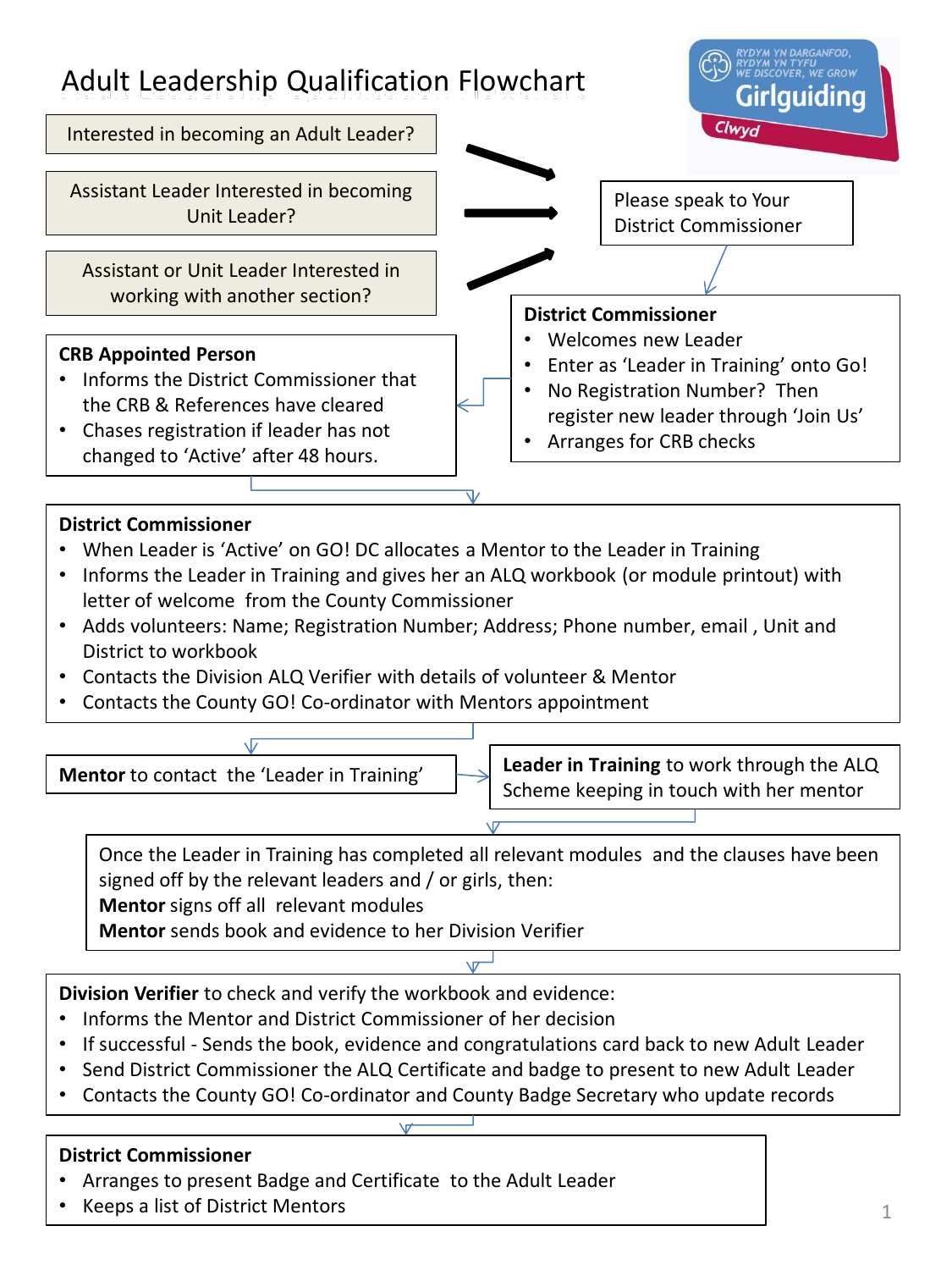

#### **District Commissioner**

- When Leader is 'Active' on GO! DC allocates a Mentor to the Leader in Training
- Informs the Leader in Training and gives her an ALQ workbook (or module printout) with letter of welcome from the County Commissioner
- Adds volunteers: Name; Registration Number; Address; Phone number, email , Unit and District to workbook
- Contacts the Division ALQ Verifier with details of volunteer & Mentor
- Contacts the County GO! Co-ordinator with Mentors appointment



Once the Leader in Training has completed all relevant modules and the clauses have been signed off by the relevant leaders and / or girls, then:

**Mentor** signs off all relevant modules

**Mentor** sends book and evidence to her Division Verifier

**Division Verifier** to check and verify the workbook and evidence:

- Informs the Mentor and District Commissioner of her decision
- If successful Sends the book, evidence and congratulations card back to new Adult Leader
- Send District Commissioner the ALQ Certificate and badge to present to new Adult Leader
- Contacts the County GO! Co-ordinator and County Badge Secretary who update records

#### **District Commissioner**

- Arranges to present Badge and Certificate to the Adult Leader
- Keeps a list of District Mentors  $\begin{array}{ccc} 1 & 1 & 1 \end{array}$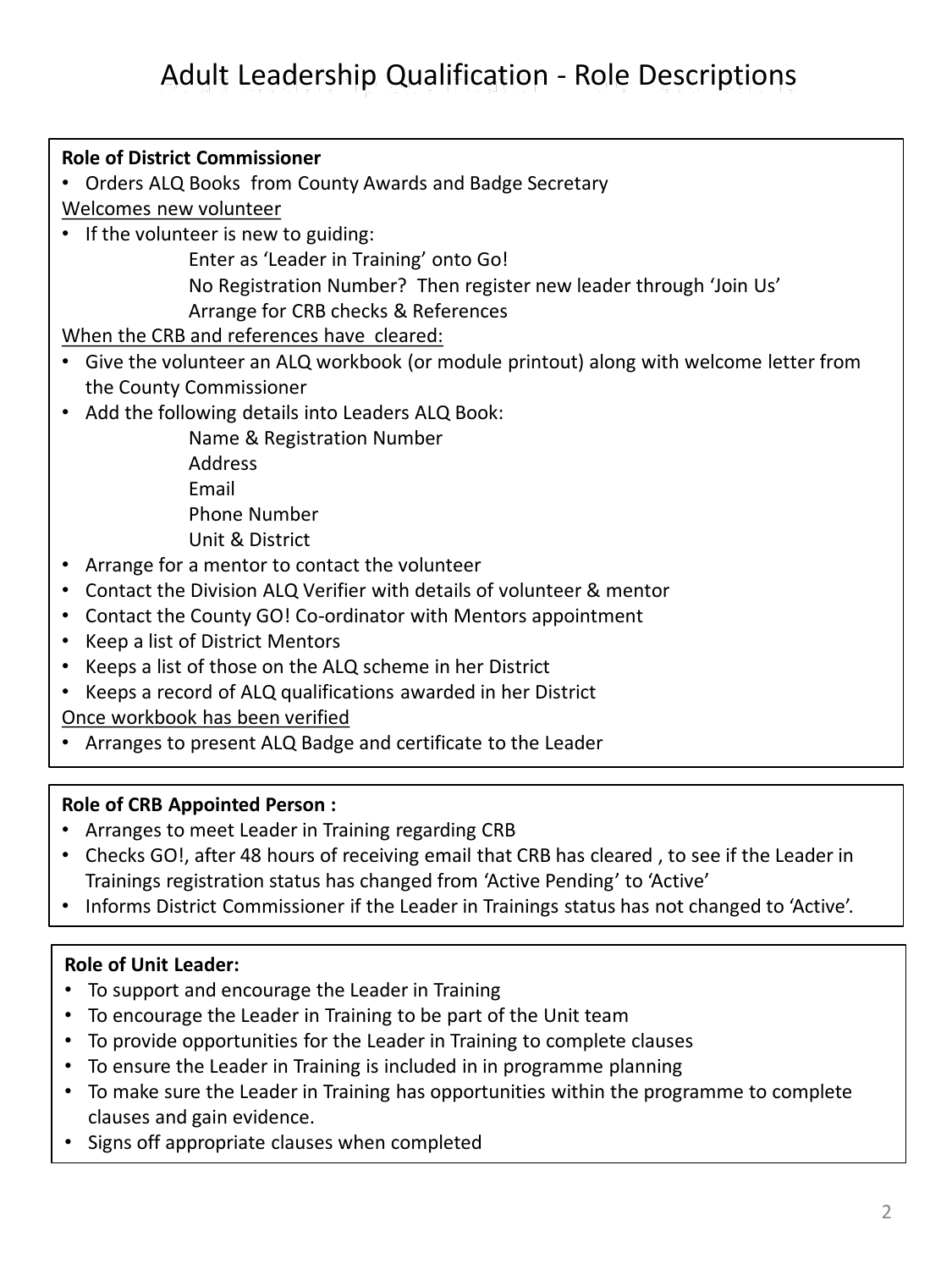# Adult Leadership Qualification - Role Descriptions

**Role of District Commissioner** • Orders ALQ Books from County Awards and Badge Secretary Welcomes new volunteer • If the volunteer is new to guiding: Enter as 'Leader in Training' onto Go! No Registration Number? Then register new leader through 'Join Us' Arrange for CRB checks & References When the CRB and references have cleared: • Give the volunteer an ALQ workbook (or module printout) along with welcome letter from the County Commissioner • Add the following details into Leaders ALQ Book: Name & Registration Number Address Email Phone Number Unit & District • Arrange for a mentor to contact the volunteer • Contact the Division ALQ Verifier with details of volunteer & mentor • Contact the County GO! Co-ordinator with Mentors appointment • Keep a list of District Mentors • Keeps a list of those on the ALQ scheme in her District • Keeps a record of ALQ qualifications awarded in her District

Once workbook has been verified

• Arranges to present ALQ Badge and certificate to the Leader

#### **Role of CRB Appointed Person :**

- Arranges to meet Leader in Training regarding CRB
- Checks GO!, after 48 hours of receiving email that CRB has cleared , to see if the Leader in Trainings registration status has changed from 'Active Pending' to 'Active'
- Informs District Commissioner if the Leader in Trainings status has not changed to 'Active'.

#### **Role of Unit Leader:**

- To support and encourage the Leader in Training
- To encourage the Leader in Training to be part of the Unit team
- To provide opportunities for the Leader in Training to complete clauses
- To ensure the Leader in Training is included in in programme planning
- To make sure the Leader in Training has opportunities within the programme to complete clauses and gain evidence.
- Signs off appropriate clauses when completed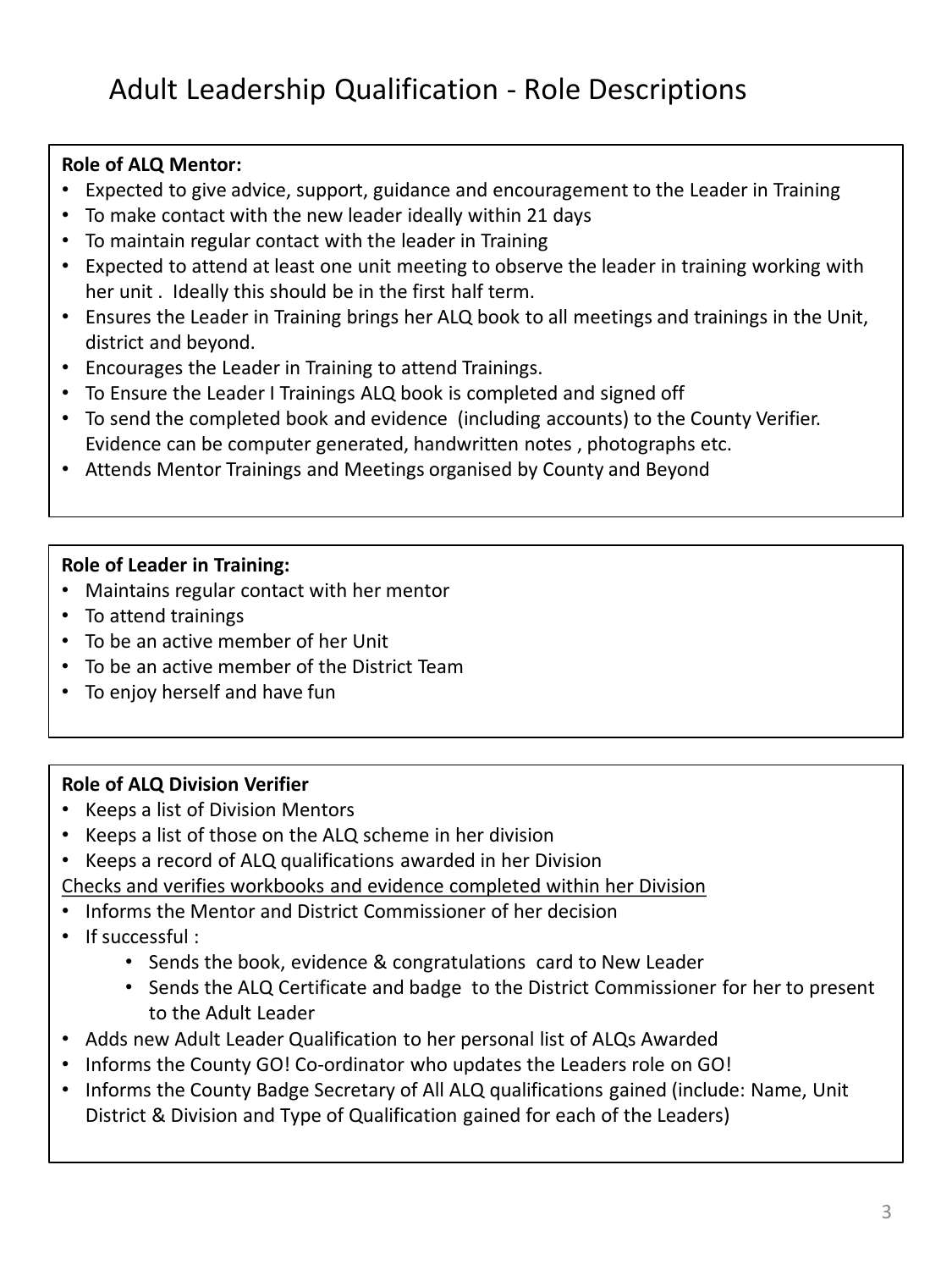## **Role of ALQ Mentor:**

- Expected to give advice, support, guidance and encouragement to the Leader in Training
- To make contact with the new leader ideally within 21 days
- To maintain regular contact with the leader in Training
- Expected to attend at least one unit meeting to observe the leader in training working with her unit . Ideally this should be in the first half term.
- Ensures the Leader in Training brings her ALQ book to all meetings and trainings in the Unit, district and beyond.
- Encourages the Leader in Training to attend Trainings.
- To Ensure the Leader I Trainings ALQ book is completed and signed off
- To send the completed book and evidence (including accounts) to the County Verifier. Evidence can be computer generated, handwritten notes , photographs etc.
- Attends Mentor Trainings and Meetings organised by County and Beyond

## **Role of Leader in Training:**

- Maintains regular contact with her mentor
- To attend trainings
- To be an active member of her Unit
- To be an active member of the District Team
- To enjoy herself and have fun

## **Role of ALQ Division Verifier**

- Keeps a list of Division Mentors
- Keeps a list of those on the ALQ scheme in her division
- Keeps a record of ALQ qualifications awarded in her Division Checks and verifies workbooks and evidence completed within her Division
- Informs the Mentor and District Commissioner of her decision
- If successful :
	- Sends the book, evidence & congratulations card to New Leader
	- Sends the ALQ Certificate and badge to the District Commissioner for her to present to the Adult Leader
- Adds new Adult Leader Qualification to her personal list of ALQs Awarded
- Informs the County GO! Co-ordinator who updates the Leaders role on GO!
- Informs the County Badge Secretary of All ALQ qualifications gained (include: Name, Unit District & Division and Type of Qualification gained for each of the Leaders)